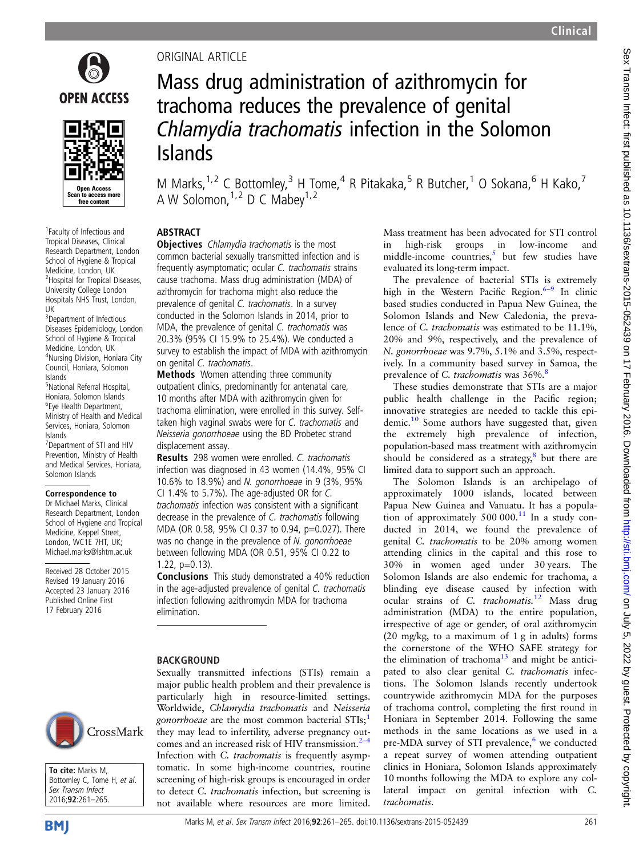

1 Faculty of Infectious and Tropical Diseases, Clinical Research Department, London School of Hygiene & Tropical Medicine, London, UK 2 Hospital for Tropical Diseases, University College London Hospitals NHS Trust, London, UK

.<br>I to access more free content

<sup>3</sup>Department of Infectious Diseases Epidemiology, London School of Hygiene & Tropical Medicine, London, UK 4 Nursing Division, Honiara City Council, Honiara, Solomon Islands

5 National Referral Hospital, Honiara, Solomon Islands 6 Eye Health Department, Ministry of Health and Medical Services, Honiara, Solomon Islands

7 Department of STI and HIV Prevention, Ministry of Health and Medical Services, Honiara, Solomon Islands

#### Correspondence to

Dr Michael Marks, Clinical Research Department, London School of Hygiene and Tropical Medicine, Keppel Street, London, WC1E 7HT, UK; Michael.marks@lshtm.ac.uk

Received 28 October 2015 Revised 19 January 2016 Accepted 23 January 2016 Published Online First 17 February 2016



#### To cite: Marks M, Bottomley C, Tome H, et al. Sex Transm Infect 2016;92:261–265.

# ORIGINAL ARTICLE

# Mass drug administration of azithromycin for trachoma reduces the prevalence of genital Chlamydia trachomatis infection in the Solomon Islands

M Marks,  $1.2$  C Bottomley,  $3$  H Tome,  $4$  R Pitakaka,  $5$  R Butcher,  $1$  O Sokana,  $6$  H Kako,  $7$ A W Solomon,  $1,2$  D C Mabey  $1,2$ 

# **ABSTRACT**

**Objectives** Chlamydia trachomatis is the most common bacterial sexually transmitted infection and is frequently asymptomatic; ocular C. trachomatis strains cause trachoma. Mass drug administration (MDA) of azithromycin for trachoma might also reduce the prevalence of genital C. trachomatis. In a survey conducted in the Solomon Islands in 2014, prior to MDA, the prevalence of genital C. trachomatis was 20.3% (95% CI 15.9% to 25.4%). We conducted a survey to establish the impact of MDA with azithromycin on genital C. trachomatis.

Methods Women attending three community outpatient clinics, predominantly for antenatal care, 10 months after MDA with azithromycin given for trachoma elimination, were enrolled in this survey. Selftaken high vaginal swabs were for C. trachomatis and Neisseria gonorrhoeae using the BD Probetec strand displacement assay.

Results 298 women were enrolled. C. trachomatis infection was diagnosed in 43 women (14.4%, 95% CI 10.6% to 18.9%) and N. gonorrhoeae in 9 (3%, 95% CI 1.4% to 5.7%). The age-adjusted OR for C. trachomatis infection was consistent with a significant decrease in the prevalence of C. trachomatis following MDA (OR 0.58, 95% CI 0.37 to 0.94, p=0.027). There was no change in the prevalence of N. gonorrhoeae between following MDA (OR 0.51, 95% CI 0.22 to 1.22, p=0.13).

Conclusions This study demonstrated a 40% reduction in the age-adjusted prevalence of genital C. trachomatis infection following azithromycin MDA for trachoma elimination.

### BACKGROUND

Sexually transmitted infections (STIs) remain a major public health problem and their prevalence is particularly high in resource-limited settings. Worldwide, Chlamydia trachomatis and Neisseria gonorrhoeae are the most common bacterial STIs;<sup>[1](#page-3-0)</sup> they may lead to infertility, adverse pregnancy outcomes and an increased risk of HIV transmission. $2-4$ Infection with C. *trachomatis* is frequently asymptomatic. In some high-income countries, routine screening of high-risk groups is encouraged in order to detect C. trachomatis infection, but screening is not available where resources are more limited.

Mass treatment has been advocated for STI control in high-risk groups in low-income and middle-income countries, $\frac{5}{3}$  $\frac{5}{3}$  $\frac{5}{3}$  but few studies have evaluated its long-term impact.

The prevalence of bacterial STIs is extremely high in the Western Pacific Region.<sup>[6](#page-4-0)-9</sup> In clinic based studies conducted in Papua New Guinea, the Solomon Islands and New Caledonia, the prevalence of C. trachomatis was estimated to be 11.1%, 20% and 9%, respectively, and the prevalence of N. gonorrhoeae was 9.7%, 5.1% and 3.5%, respectively. In a community based survey in Samoa, the prevalence of C. trachomatis was 36%.<sup>[8](#page-4-0)</sup>

These studies demonstrate that STIs are a major public health challenge in the Pacific region; innovative strategies are needed to tackle this epi-demic.<sup>[10](#page-4-0)</sup> Some authors have suggested that, given the extremely high prevalence of infection, population-based mass treatment with azithromycin should be considered as a strategy, $\frac{8}{3}$  $\frac{8}{3}$  $\frac{8}{3}$  but there are limited data to support such an approach.

The Solomon Islands is an archipelago of approximately 1000 islands, located between Papua New Guinea and Vanuatu. It has a population of approximately  $500\,000$ .<sup>[11](#page-4-0)</sup> In a study conducted in 2014, we found the prevalence of genital C. trachomatis to be 20% among women attending clinics in the capital and this rose to 30% in women aged under 30 years. The Solomon Islands are also endemic for trachoma, a blinding eye disease caused by infection with ocular strains of C. trachomatis.<sup>[12](#page-4-0)</sup> Mass drug administration (MDA) to the entire population, irrespective of age or gender, of oral azithromycin (20 mg/kg, to a maximum of 1 g in adults) forms the cornerstone of the WHO SAFE strategy for the elimination of trachoma<sup>[13](#page-4-0)</sup> and might be anticipated to also clear genital C. trachomatis infections. The Solomon Islands recently undertook countrywide azithromycin MDA for the purposes of trachoma control, completing the first round in Honiara in September 2014. Following the same methods in the same locations as we used in a pre-MDA survey of STI prevalence, $6$  we conducted a repeat survey of women attending outpatient clinics in Honiara, Solomon Islands approximately 10 months following the MDA to explore any collateral impact on genital infection with C. trachomatis.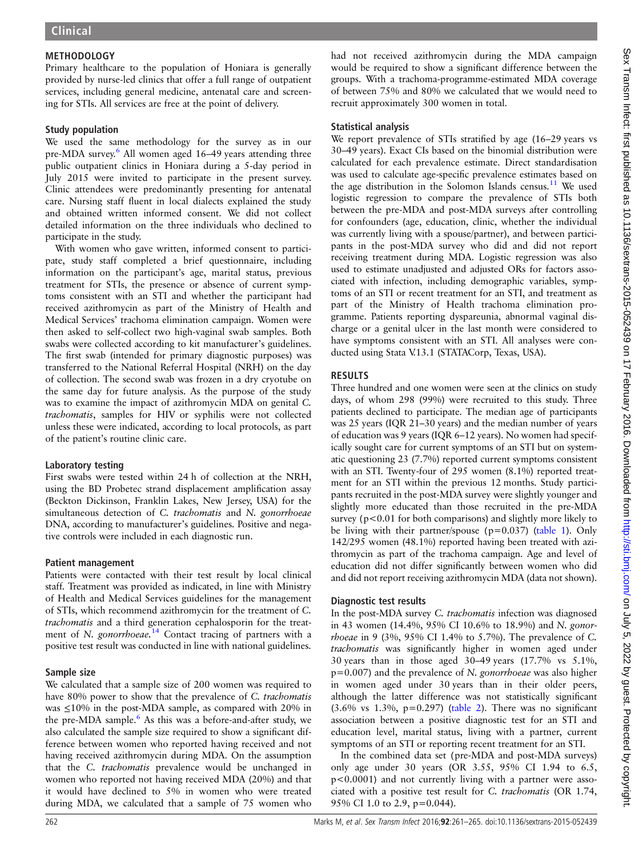## **METHODOLOGY**

Primary healthcare to the population of Honiara is generally provided by nurse-led clinics that offer a full range of outpatient services, including general medicine, antenatal care and screening for STIs. All services are free at the point of delivery.

### Study population

We used the same methodology for the survey as in our pre-MDA survey.<sup>[6](#page-4-0)</sup> All women aged 16–49 years attending three public outpatient clinics in Honiara during a 5-day period in July 2015 were invited to participate in the present survey. Clinic attendees were predominantly presenting for antenatal care. Nursing staff fluent in local dialects explained the study and obtained written informed consent. We did not collect detailed information on the three individuals who declined to participate in the study.

With women who gave written, informed consent to participate, study staff completed a brief questionnaire, including information on the participant's age, marital status, previous treatment for STIs, the presence or absence of current symptoms consistent with an STI and whether the participant had received azithromycin as part of the Ministry of Health and Medical Services' trachoma elimination campaign. Women were then asked to self-collect two high-vaginal swab samples. Both swabs were collected according to kit manufacturer's guidelines. The first swab (intended for primary diagnostic purposes) was transferred to the National Referral Hospital (NRH) on the day of collection. The second swab was frozen in a dry cryotube on the same day for future analysis. As the purpose of the study was to examine the impact of azithromycin MDA on genital C. trachomatis, samples for HIV or syphilis were not collected unless these were indicated, according to local protocols, as part of the patient's routine clinic care.

### Laboratory testing

First swabs were tested within 24 h of collection at the NRH, using the BD Probetec strand displacement amplification assay (Beckton Dickinson, Franklin Lakes, New Jersey, USA) for the simultaneous detection of C. trachomatis and N. gonorrhoeae DNA, according to manufacturer's guidelines. Positive and negative controls were included in each diagnostic run.

#### Patient management

Patients were contacted with their test result by local clinical staff. Treatment was provided as indicated, in line with Ministry of Health and Medical Services guidelines for the management of STIs, which recommend azithromycin for the treatment of C. trachomatis and a third generation cephalosporin for the treatment of N. gonorrhoeae. $14$  Contact tracing of partners with a positive test result was conducted in line with national guidelines.

### Sample size

We calculated that a sample size of 200 women was required to have 80% power to show that the prevalence of C. trachomatis was ≤10% in the post-MDA sample, as compared with 20% in the pre-MDA sample.<sup>6</sup> As this was a before-and-after study, we also calculated the sample size required to show a significant difference between women who reported having received and not having received azithromycin during MDA. On the assumption that the C. trachomatis prevalence would be unchanged in women who reported not having received MDA (20%) and that it would have declined to 5% in women who were treated during MDA, we calculated that a sample of 75 women who

had not received azithromycin during the MDA campaign would be required to show a significant difference between the groups. With a trachoma-programme-estimated MDA coverage of between 75% and 80% we calculated that we would need to recruit approximately 300 women in total.

## Statistical analysis

We report prevalence of STIs stratified by age (16-29 years vs 30–49 years). Exact CIs based on the binomial distribution were calculated for each prevalence estimate. Direct standardisation was used to calculate age-specific prevalence estimates based on the age distribution in the Solomon Islands census.<sup>[11](#page-4-0)</sup> We used logistic regression to compare the prevalence of STIs both between the pre-MDA and post-MDA surveys after controlling for confounders (age, education, clinic, whether the individual was currently living with a spouse/partner), and between participants in the post-MDA survey who did and did not report receiving treatment during MDA. Logistic regression was also used to estimate unadjusted and adjusted ORs for factors associated with infection, including demographic variables, symptoms of an STI or recent treatment for an STI, and treatment as part of the Ministry of Health trachoma elimination programme. Patients reporting dyspareunia, abnormal vaginal discharge or a genital ulcer in the last month were considered to have symptoms consistent with an STI. All analyses were conducted using Stata V.13.1 (STATACorp, Texas, USA).

## RESULTS

Three hundred and one women were seen at the clinics on study days, of whom 298 (99%) were recruited to this study. Three patients declined to participate. The median age of participants was 25 years (IQR 21–30 years) and the median number of years of education was 9 years (IQR 6–12 years). No women had specifically sought care for current symptoms of an STI but on systematic questioning 23 (7.7%) reported current symptoms consistent with an STI. Twenty-four of 295 women (8.1%) reported treatment for an STI within the previous 12 months. Study participants recruited in the post-MDA survey were slightly younger and slightly more educated than those recruited in the pre-MDA survey ( $p < 0.01$  for both comparisons) and slightly more likely to be living with their partner/spouse ( $p=0.037$ ) [\(table 1\)](#page-2-0). Only 142/295 women (48.1%) reported having been treated with azithromycin as part of the trachoma campaign. Age and level of education did not differ significantly between women who did and did not report receiving azithromycin MDA (data not shown).

### Diagnostic test results

In the post-MDA survey C. trachomatis infection was diagnosed in 43 women (14.4%, 95% CI 10.6% to 18.9%) and N. gonorrhoeae in 9 (3%, 95% CI 1.4% to 5.7%). The prevalence of C. trachomatis was significantly higher in women aged under 30 years than in those aged 30–49 years (17.7% vs 5.1%,  $p=0.007$ ) and the prevalence of N. gonorrhoeae was also higher in women aged under 30 years than in their older peers, although the latter difference was not statistically significant  $(3.6\% \text{ vs } 1.3\%, \text{ p=0.297})$  [\(table 2\)](#page-2-0). There was no significant association between a positive diagnostic test for an STI and education level, marital status, living with a partner, current symptoms of an STI or reporting recent treatment for an STI.

In the combined data set (pre-MDA and post-MDA surveys) only age under 30 years (OR 3.55, 95% CI 1.94 to 6.5, p<0.0001) and not currently living with a partner were associated with a positive test result for C. trachomatis (OR 1.74, 95% CI 1.0 to 2.9, p=0.044).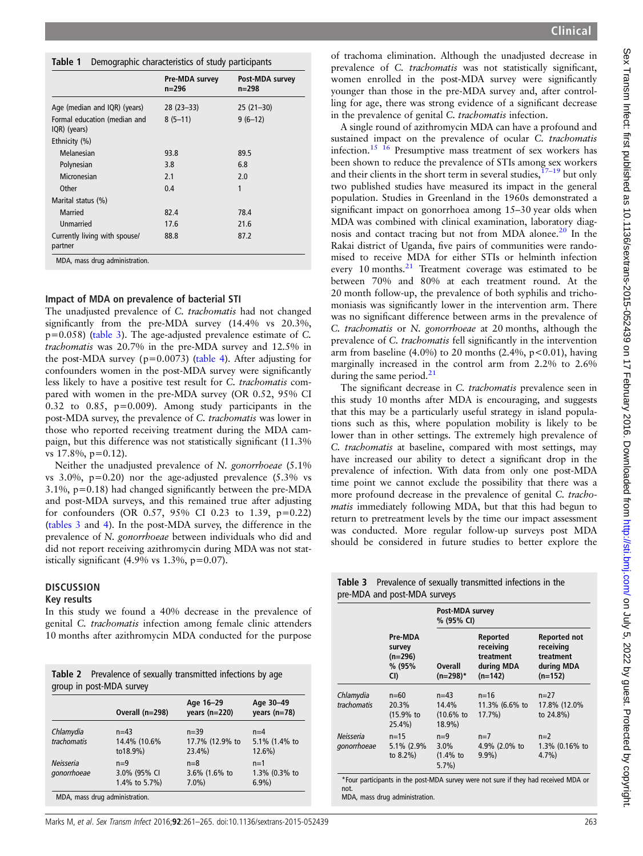<span id="page-2-0"></span>

|  | Table 1 Demographic characteristics of study participants |  |
|--|-----------------------------------------------------------|--|
|  |                                                           |  |

|                                              | Pre-MDA survey<br>n=296 | Post-MDA survey<br>n=298 |
|----------------------------------------------|-------------------------|--------------------------|
| Age (median and IQR) (years)                 | $28(23-33)$             | $25(21-30)$              |
| Formal education (median and<br>IQR) (years) | $8(5-11)$               | $9(6-12)$                |
| Ethnicity (%)                                |                         |                          |
| Melanesian                                   | 93.8                    | 89.5                     |
| Polynesian                                   | 3.8                     | 6.8                      |
| Micronesian                                  | 2.1                     | 2.0                      |
| Other                                        | 0.4                     | 1                        |
| Marital status (%)                           |                         |                          |
| Married                                      | 82.4                    | 78.4                     |
| Unmarried                                    | 17.6                    | 21.6                     |
| Currently living with spouse/<br>partner     | 88.8                    | 87.2                     |

## Impact of MDA on prevalence of bacterial STI

The unadjusted prevalence of C. trachomatis had not changed significantly from the pre-MDA survey (14.4% vs 20.3%,  $p=0.058$ ) (table 3). The age-adjusted prevalence estimate of C. trachomatis was 20.7% in the pre-MDA survey and 12.5% in the post-MDA survey ( $p=0.0073$ ) ([table 4](#page-3-0)). After adjusting for confounders women in the post-MDA survey were significantly less likely to have a positive test result for C. trachomatis compared with women in the pre-MDA survey (OR 0.52, 95% CI 0.32 to 0.85, p=0.009). Among study participants in the post-MDA survey, the prevalence of C. trachomatis was lower in those who reported receiving treatment during the MDA campaign, but this difference was not statistically significant (11.3% vs  $17.8\%$ ,  $p=0.12$ ).

Neither the unadjusted prevalence of N. gonorrhoeae (5.1% vs 3.0%, p=0.20) nor the age-adjusted prevalence (5.3% vs 3.1%, p=0.18) had changed significantly between the pre-MDA and post-MDA surveys, and this remained true after adjusting for confounders (OR 0.57, 95% CI 0.23 to 1.39, p=0.22) (tables 3 and [4\)](#page-3-0). In the post-MDA survey, the difference in the prevalence of N. gonorrhoeae between individuals who did and did not report receiving azithromycin during MDA was not statistically significant  $(4.9\% \text{ vs } 1.3\%, \text{p}=0.07)$ .

### **DISCUSSION**

#### Key results

In this study we found a 40% decrease in the prevalence of genital C. trachomatis infection among female clinic attenders 10 months after azithromycin MDA conducted for the purpose

| <b>Table 2</b> Prevalence of sexually transmitted infections by age |  |  |
|---------------------------------------------------------------------|--|--|
| group in post-MDA survey                                            |  |  |

|                                                   | Overall (n=298)                        | Age 16-29<br>years $(n=220)$            | Age 30-49<br>years $(n=78)$        |
|---------------------------------------------------|----------------------------------------|-----------------------------------------|------------------------------------|
| Chlamydia<br>trachomatis                          | $n=43$<br>14.4% (10.6%<br>to18.9%)     | $n = 39$<br>17.7% (12.9% to<br>$23.4\%$ | $n=4$<br>5.1% (1.4% to<br>$12.6\%$ |
| Neisseria<br>gonorrhoeae                          | $n=9$<br>3.0% (95% CI<br>1.4% to 5.7%) | $n=8$<br>3.6% (1.6% to<br>$7.0\%$       | $n=1$<br>1.3% (0.3% to<br>$6.9\%$  |
| <b>MADA</b> as a significant and as indicated and |                                        |                                         |                                    |

MDA, mass drug administration.

of trachoma elimination. Although the unadjusted decrease in prevalence of C. trachomatis was not statistically significant, women enrolled in the post-MDA survey were significantly younger than those in the pre-MDA survey and, after controlling for age, there was strong evidence of a significant decrease in the prevalence of genital C. trachomatis infection.

A single round of azithromycin MDA can have a profound and sustained impact on the prevalence of ocular C. trachomatis infection.[15 16](#page-4-0) Presumptive mass treatment of sex workers has been shown to reduce the prevalence of STIs among sex workers and their clients in the short term in several studies,  $17-19$  $17-19$  but only two published studies have measured its impact in the general population. Studies in Greenland in the 1960s demonstrated a significant impact on gonorrhoea among 15–30 year olds when MDA was combined with clinical examination, laboratory diag-nosis and contact tracing but not from MDA alonee.<sup>[20](#page-4-0)</sup> In the Rakai district of Uganda, five pairs of communities were randomised to receive MDA for either STIs or helminth infection every 10 months. $^{21}$  Treatment coverage was estimated to be between 70% and 80% at each treatment round. At the 20 month follow-up, the prevalence of both syphilis and trichomoniasis was significantly lower in the intervention arm. There was no significant difference between arms in the prevalence of C. trachomatis or N. gonorrhoeae at 20 months, although the prevalence of C. trachomatis fell significantly in the intervention arm from baseline (4.0%) to 20 months (2.4%,  $p<0.01$ ), having marginally increased in the control arm from 2.2% to 2.6% during the same period.<sup>[21](#page-4-0)</sup>

The significant decrease in C. trachomatis prevalence seen in this study 10 months after MDA is encouraging, and suggests that this may be a particularly useful strategy in island populations such as this, where population mobility is likely to be lower than in other settings. The extremely high prevalence of C. trachomatis at baseline, compared with most settings, may have increased our ability to detect a significant drop in the prevalence of infection. With data from only one post-MDA time point we cannot exclude the possibility that there was a more profound decrease in the prevalence of genital C. trachomatis immediately following MDA, but that this had begun to return to pretreatment levels by the time our impact assessment was conducted. More regular follow-up surveys post MDA should be considered in future studies to better explore the

|                          | Pre-MDA<br>survey<br>(n=296)<br>% (95%<br>CI) | Post-MDA survey<br>% (95% CI)               |                                                               |                                                                   |
|--------------------------|-----------------------------------------------|---------------------------------------------|---------------------------------------------------------------|-------------------------------------------------------------------|
|                          |                                               | Overall<br>(n=298)*                         | Reported<br>receiving<br>treatment<br>during MDA<br>$(n=142)$ | Reported not<br>receiving<br>treatment<br>during MDA<br>$(n=152)$ |
| Chlamydia<br>trachomatis | $n=60$<br>20.3%<br>(15.9% t<br>$25.4\%$       | $n=43$<br>14.4%<br>$(10.6\%$ to<br>$18.9\%$ | $n = 16$<br>11.3% (6.6% to<br>$17.7\%$                        | $n=27$<br>17.8% (12.0%<br>to 24.8%)                               |
| Neisseria<br>gonorrhoeae | $n = 15$<br>5.1% (2.9%)<br>to $8.2\%$ )       | $n=9$<br>3.0%<br>$(1.4%$ to<br>$5.7\%$      | $n=7$<br>4.9% (2.0% to<br>$9.9\%$                             | $n=2$<br>1.3% (0.16% to<br>$4.7\%$                                |

Table 3 Prevalence of sexually transmitted infections in the

not. MDA, mass drug administration.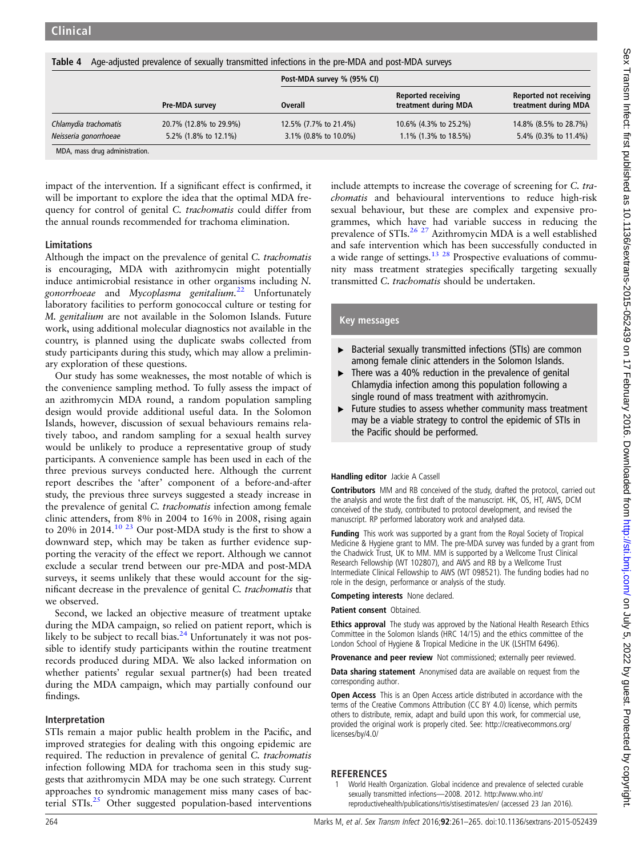<span id="page-3-0"></span>

| Age-adjusted prevalence of sexually transmitted infections in the pre-MDA and post-MDA surveys<br>Table 4 |                        |                       |                                                   |                                                |  |
|-----------------------------------------------------------------------------------------------------------|------------------------|-----------------------|---------------------------------------------------|------------------------------------------------|--|
|                                                                                                           |                        |                       | Post-MDA survey % (95% CI)                        |                                                |  |
|                                                                                                           | Pre-MDA survey         | Overall               | <b>Reported receiving</b><br>treatment during MDA | Reported not receiving<br>treatment during MDA |  |
| Chlamydia trachomatis                                                                                     | 20.7% (12.8% to 29.9%) | 12.5% (7.7% to 21.4%) | 10.6% (4.3% to 25.2%)                             | 14.8% (8.5% to 28.7%)                          |  |
| Neisseria gonorrhoeae                                                                                     | 5.2% (1.8% to 12.1%)   | 3.1% (0.8% to 10.0%)  | 1.1% (1.3% to 18.5%)                              | 5.4% (0.3% to 11.4%)                           |  |
| MDA macc drug adminictration                                                                              |                        |                       |                                                   |                                                |  |

MDA, mass drug administration.

impact of the intervention. If a significant effect is confirmed, it will be important to explore the idea that the optimal MDA frequency for control of genital C. trachomatis could differ from the annual rounds recommended for trachoma elimination.

### Limitations

Although the impact on the prevalence of genital C. trachomatis is encouraging, MDA with azithromycin might potentially induce antimicrobial resistance in other organisms including N. gonorrhoeae and Mycoplasma genitalium.<sup>[22](#page-4-0)</sup> Unfortunately laboratory facilities to perform gonococcal culture or testing for M. genitalium are not available in the Solomon Islands. Future work, using additional molecular diagnostics not available in the country, is planned using the duplicate swabs collected from study participants during this study, which may allow a preliminary exploration of these questions.

Our study has some weaknesses, the most notable of which is the convenience sampling method. To fully assess the impact of an azithromycin MDA round, a random population sampling design would provide additional useful data. In the Solomon Islands, however, discussion of sexual behaviours remains relatively taboo, and random sampling for a sexual health survey would be unlikely to produce a representative group of study participants. A convenience sample has been used in each of the three previous surveys conducted here. Although the current report describes the 'after' component of a before-and-after study, the previous three surveys suggested a steady increase in the prevalence of genital C. *trachomatis* infection among female clinic attenders, from 8% in 2004 to 16% in 2008, rising again to 20% in 2014.[10 23](#page-4-0) Our post-MDA study is the first to show a downward step, which may be taken as further evidence supporting the veracity of the effect we report. Although we cannot exclude a secular trend between our pre-MDA and post-MDA surveys, it seems unlikely that these would account for the significant decrease in the prevalence of genital C. trachomatis that we observed.

Second, we lacked an objective measure of treatment uptake during the MDA campaign, so relied on patient report, which is likely to be subject to recall bias. $24$  Unfortunately it was not possible to identify study participants within the routine treatment records produced during MDA. We also lacked information on whether patients' regular sexual partner(s) had been treated during the MDA campaign, which may partially confound our findings.

### Interpretation

STIs remain a major public health problem in the Pacific, and improved strategies for dealing with this ongoing epidemic are required. The reduction in prevalence of genital C. trachomatis infection following MDA for trachoma seen in this study suggests that azithromycin MDA may be one such strategy. Current approaches to syndromic management miss many cases of bacterial STIs.[25](#page-4-0) Other suggested population-based interventions

include attempts to increase the coverage of screening for C. trachomatis and behavioural interventions to reduce high-risk sexual behaviour, but these are complex and expensive programmes, which have had variable success in reducing the prevalence of STIs. $26 27$  Azithromycin MDA is a well established and safe intervention which has been successfully conducted in a wide range of settings.<sup>[13 28](#page-4-0)</sup> Prospective evaluations of community mass treatment strategies specifically targeting sexually transmitted C. trachomatis should be undertaken.

## Key messages

- ▶ Bacterial sexually transmitted infections (STIs) are common among female clinic attenders in the Solomon Islands.
- $\triangleright$  There was a 40% reduction in the prevalence of genital Chlamydia infection among this population following a single round of mass treatment with azithromycin.
- ▸ Future studies to assess whether community mass treatment may be a viable strategy to control the epidemic of STIs in the Pacific should be performed.

#### Handling editor Jackie A Cassell

Contributors MM and RB conceived of the study, drafted the protocol, carried out the analysis and wrote the first draft of the manuscript. HK, OS, HT, AWS, DCM conceived of the study, contributed to protocol development, and revised the manuscript. RP performed laboratory work and analysed data.

Funding This work was supported by a grant from the Royal Society of Tropical Medicine & Hygiene grant to MM. The pre-MDA survey was funded by a grant from the Chadwick Trust, UK to MM. MM is supported by a Wellcome Trust Clinical Research Fellowship (WT 102807), and AWS and RB by a Wellcome Trust Intermediate Clinical Fellowship to AWS (WT 098521). The funding bodies had no role in the design, performance or analysis of the study.

Competing interests None declared.

Patient consent Obtained.

Ethics approval The study was approved by the National Health Research Ethics Committee in the Solomon Islands (HRC 14/15) and the ethics committee of the London School of Hygiene & Tropical Medicine in the UK (LSHTM 6496).

Provenance and peer review Not commissioned; externally peer reviewed.

Data sharing statement Anonymised data are available on request from the corresponding author.

**Open Access** This is an Open Access article distributed in accordance with the terms of the Creative Commons Attribution (CC BY 4.0) license, which permits others to distribute, remix, adapt and build upon this work, for commercial use, provided the original work is properly cited. See: http://creativecommons.org/ licenses/by/4.0/

### REFERENCES

1 World Health Organization. Global incidence and prevalence of selected curable sexually transmitted infections—2008. 2012. [http://www.who.int/](http://www.who.int/reproductivehealth/publications/rtis/stisestimates/en/) [reproductivehealth/publications/rtis/stisestimates/en/](http://www.who.int/reproductivehealth/publications/rtis/stisestimates/en/) (accessed 23 Jan 2016).